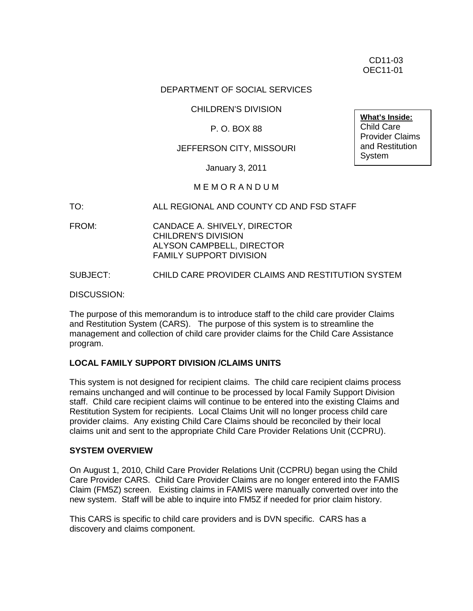### DEPARTMENT OF SOCIAL SERVICES

## CHILDREN'S DIVISION

# P. O. BOX 88

### JEFFERSON CITY, MISSOURI

January 3, 2011

## M E M O R A N D U M

#### TO: ALL REGIONAL AND COUNTY CD AND FSD STAFF

FROM: CANDACE A. SHIVELY, DIRECTOR CHILDREN'S DIVISION ALYSON CAMPBELL, DIRECTOR FAMILY SUPPORT DIVISION

#### SUBJECT: CHILD CARE PROVIDER CLAIMS AND RESTITUTION SYSTEM

DISCUSSION:

The purpose of this memorandum is to introduce staff to the child care provider Claims and Restitution System (CARS). The purpose of this system is to streamline the management and collection of child care provider claims for the Child Care Assistance program.

#### **LOCAL FAMILY SUPPORT DIVISION /CLAIMS UNITS**

This system is not designed for recipient claims. The child care recipient claims process remains unchanged and will continue to be processed by local Family Support Division staff. Child care recipient claims will continue to be entered into the existing Claims and Restitution System for recipients. Local Claims Unit will no longer process child care provider claims. Any existing Child Care Claims should be reconciled by their local claims unit and sent to the appropriate Child Care Provider Relations Unit (CCPRU).

#### **SYSTEM OVERVIEW**

On August 1, 2010, Child Care Provider Relations Unit (CCPRU) began using the Child Care Provider CARS. Child Care Provider Claims are no longer entered into the FAMIS Claim (FM5Z) screen. Existing claims in FAMIS were manually converted over into the new system. Staff will be able to inquire into FM5Z if needed for prior claim history.

This CARS is specific to child care providers and is DVN specific. CARS has a discovery and claims component.

**What's Inside:** Child Care Provider Claims and Restitution System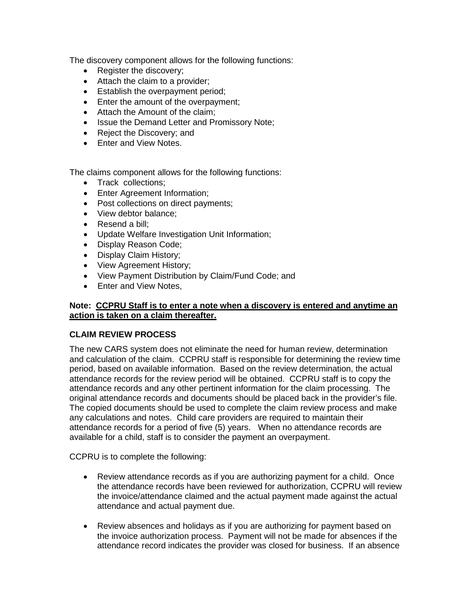The discovery component allows for the following functions:

- Register the discovery;
- Attach the claim to a provider;
- Establish the overpayment period;
- Enter the amount of the overpayment;
- Attach the Amount of the claim;
- Issue the Demand Letter and Promissory Note;
- Reject the Discovery; and
- Enter and View Notes.

The claims component allows for the following functions:

- Track collections;
- Enter Agreement Information;
- Post collections on direct payments;
- View debtor balance;
- Resend a bill:
- Update Welfare Investigation Unit Information;
- Display Reason Code;
- Display Claim History;
- View Agreement History;
- View Payment Distribution by Claim/Fund Code; and
- Fnter and View Notes.

## **Note: CCPRU Staff is to enter a note when a discovery is entered and anytime an action is taken on a claim thereafter.**

#### **CLAIM REVIEW PROCESS**

The new CARS system does not eliminate the need for human review, determination and calculation of the claim. CCPRU staff is responsible for determining the review time period, based on available information. Based on the review determination, the actual attendance records for the review period will be obtained. CCPRU staff is to copy the attendance records and any other pertinent information for the claim processing. The original attendance records and documents should be placed back in the provider's file. The copied documents should be used to complete the claim review process and make any calculations and notes. Child care providers are required to maintain their attendance records for a period of five (5) years. When no attendance records are available for a child, staff is to consider the payment an overpayment.

CCPRU is to complete the following:

- Review attendance records as if you are authorizing payment for a child. Once the attendance records have been reviewed for authorization, CCPRU will review the invoice/attendance claimed and the actual payment made against the actual attendance and actual payment due.
- Review absences and holidays as if you are authorizing for payment based on the invoice authorization process. Payment will not be made for absences if the attendance record indicates the provider was closed for business. If an absence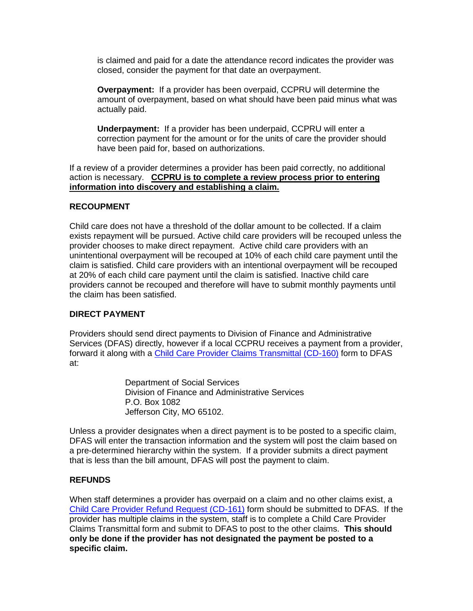is claimed and paid for a date the attendance record indicates the provider was closed, consider the payment for that date an overpayment.

**Overpayment:** If a provider has been overpaid, CCPRU will determine the amount of overpayment, based on what should have been paid minus what was actually paid.

**Underpayment:** If a provider has been underpaid, CCPRU will enter a correction payment for the amount or for the units of care the provider should have been paid for, based on authorizations.

If a review of a provider determines a provider has been paid correctly, no additional action is necessary. **CCPRU is to complete a review process prior to entering information into discovery and establishing a claim.** 

## **RECOUPMENT**

Child care does not have a threshold of the dollar amount to be collected. If a claim exists repayment will be pursued. Active child care providers will be recouped unless the provider chooses to make direct repayment. Active child care providers with an unintentional overpayment will be recouped at 10% of each child care payment until the claim is satisfied. Child care providers with an intentional overpayment will be recouped at 20% of each child care payment until the claim is satisfied. Inactive child care providers cannot be recouped and therefore will have to submit monthly payments until the claim has been satisfied.

# **DIRECT PAYMENT**

Providers should send direct payments to Division of Finance and Administrative Services (DFAS) directly, however if a local CCPRU receives a payment from a provider, forward it along with a [Child Care Provider Claims Transmittal \(CD-160\)](http://www.dss.mo.gov/cd/info/forms/index.htm) form to DFAS at:

> Department of Social Services Division of Finance and Administrative Services P.O. Box 1082 Jefferson City, MO 65102.

Unless a provider designates when a direct payment is to be posted to a specific claim, DFAS will enter the transaction information and the system will post the claim based on a pre-determined hierarchy within the system. If a provider submits a direct payment that is less than the bill amount, DFAS will post the payment to claim.

# **REFUNDS**

When staff determines a provider has overpaid on a claim and no other claims exist, a [Child Care Provider Refund Request \(CD-161\)](http://www.dss.mo.gov/cd/info/forms/index.htm) form should be submitted to DFAS. If the provider has multiple claims in the system, staff is to complete a Child Care Provider Claims Transmittal form and submit to DFAS to post to the other claims. **This should only be done if the provider has not designated the payment be posted to a specific claim.**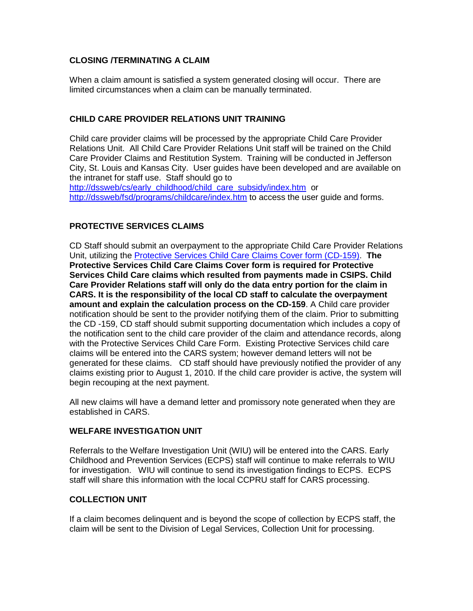# **CLOSING /TERMINATING A CLAIM**

When a claim amount is satisfied a system generated closing will occur. There are limited circumstances when a claim can be manually terminated.

# **CHILD CARE PROVIDER RELATIONS UNIT TRAINING**

Child care provider claims will be processed by the appropriate Child Care Provider Relations Unit. All Child Care Provider Relations Unit staff will be trained on the Child Care Provider Claims and Restitution System. Training will be conducted in Jefferson City, St. Louis and Kansas City. User guides have been developed and are available on the intranet for staff use. Staff should go to [http://dssweb/cs/early\\_childhood/child\\_care\\_subsidy/index.htm](http://dssweb/cs/early_childhood/child_care_subsidy/index.htm) or <http://dssweb/fsd/programs/childcare/index.htm> to access the user guide and forms.

# **PROTECTIVE SERVICES CLAIMS**

CD Staff should submit an overpayment to the appropriate Child Care Provider Relations Unit, utilizing the [Protective Services Child Care Claims Cover form](http://www.dss.mo.gov/cd/info/forms/index.htm) (CD-159). **The Protective Services Child Care Claims Cover form is required for Protective Services Child Care claims which resulted from payments made in CSIPS. Child Care Provider Relations staff will only do the data entry portion for the claim in CARS. It is the responsibility of the local CD staff to calculate the overpayment amount and explain the calculation process on the CD-159**. A Child care provider notification should be sent to the provider notifying them of the claim. Prior to submitting the CD -159, CD staff should submit supporting documentation which includes a copy of the notification sent to the child care provider of the claim and attendance records, along with the Protective Services Child Care Form. Existing Protective Services child care claims will be entered into the CARS system; however demand letters will not be generated for these claims. CD staff should have previously notified the provider of any claims existing prior to August 1, 2010. If the child care provider is active, the system will begin recouping at the next payment.

All new claims will have a demand letter and promissory note generated when they are established in CARS.

# **WELFARE INVESTIGATION UNIT**

Referrals to the Welfare Investigation Unit (WIU) will be entered into the CARS. Early Childhood and Prevention Services (ECPS) staff will continue to make referrals to WIU for investigation. WIU will continue to send its investigation findings to ECPS. ECPS staff will share this information with the local CCPRU staff for CARS processing.

#### **COLLECTION UNIT**

If a claim becomes delinquent and is beyond the scope of collection by ECPS staff, the claim will be sent to the Division of Legal Services, Collection Unit for processing.